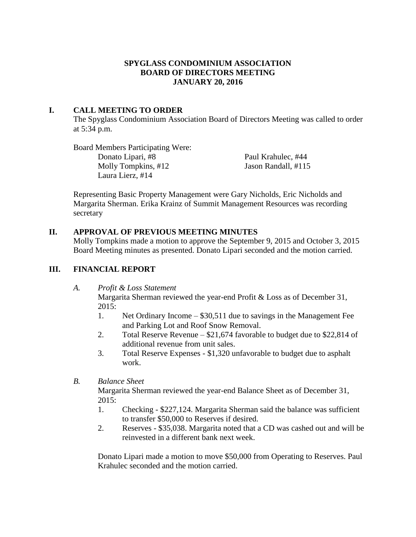# **SPYGLASS CONDOMINIUM ASSOCIATION BOARD OF DIRECTORS MEETING JANUARY 20, 2016**

# **I. CALL MEETING TO ORDER**

The Spyglass Condominium Association Board of Directors Meeting was called to order at 5:34 p.m.

Board Members Participating Were: Donato Lipari, #8 Paul Krahulec, #44 Molly Tompkins, #12 Jason Randall, #115 Laura Lierz, #14

Representing Basic Property Management were Gary Nicholds, Eric Nicholds and Margarita Sherman. Erika Krainz of Summit Management Resources was recording secretary

# **II. APPROVAL OF PREVIOUS MEETING MINUTES**

Molly Tompkins made a motion to approve the September 9, 2015 and October 3, 2015 Board Meeting minutes as presented. Donato Lipari seconded and the motion carried.

# **III. FINANCIAL REPORT**

*A. Profit & Loss Statement*

Margarita Sherman reviewed the year-end Profit & Loss as of December 31, 2015:

- 1. Net Ordinary Income \$30,511 due to savings in the Management Fee and Parking Lot and Roof Snow Removal.
- 2. Total Reserve Revenue \$21,674 favorable to budget due to \$22,814 of additional revenue from unit sales.
- 3. Total Reserve Expenses \$1,320 unfavorable to budget due to asphalt work.
- *B. Balance Sheet*

Margarita Sherman reviewed the year-end Balance Sheet as of December 31, 2015:

- 1. Checking \$227,124. Margarita Sherman said the balance was sufficient to transfer \$50,000 to Reserves if desired.
- 2. Reserves \$35,038. Margarita noted that a CD was cashed out and will be reinvested in a different bank next week.

Donato Lipari made a motion to move \$50,000 from Operating to Reserves. Paul Krahulec seconded and the motion carried.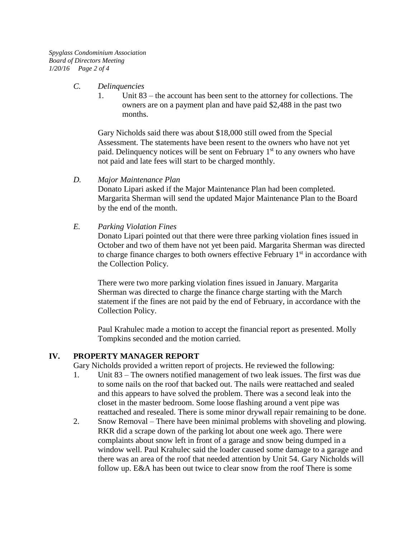*Spyglass Condominium Association Board of Directors Meeting 1/20/16 Page 2 of 4*

#### *C. Delinquencies*

1. Unit 83 – the account has been sent to the attorney for collections. The owners are on a payment plan and have paid \$2,488 in the past two months.

Gary Nicholds said there was about \$18,000 still owed from the Special Assessment. The statements have been resent to the owners who have not yet paid. Delinquency notices will be sent on February 1<sup>st</sup> to any owners who have not paid and late fees will start to be charged monthly.

*D. Major Maintenance Plan*

Donato Lipari asked if the Major Maintenance Plan had been completed. Margarita Sherman will send the updated Major Maintenance Plan to the Board by the end of the month.

*E. Parking Violation Fines*

Donato Lipari pointed out that there were three parking violation fines issued in October and two of them have not yet been paid. Margarita Sherman was directed to charge finance charges to both owners effective February  $1<sup>st</sup>$  in accordance with the Collection Policy.

There were two more parking violation fines issued in January. Margarita Sherman was directed to charge the finance charge starting with the March statement if the fines are not paid by the end of February, in accordance with the Collection Policy.

Paul Krahulec made a motion to accept the financial report as presented. Molly Tompkins seconded and the motion carried.

#### **IV. PROPERTY MANAGER REPORT**

Gary Nicholds provided a written report of projects. He reviewed the following:

- 1. Unit 83 The owners notified management of two leak issues. The first was due to some nails on the roof that backed out. The nails were reattached and sealed and this appears to have solved the problem. There was a second leak into the closet in the master bedroom. Some loose flashing around a vent pipe was reattached and resealed. There is some minor drywall repair remaining to be done.
- 2. Snow Removal There have been minimal problems with shoveling and plowing. RKR did a scrape down of the parking lot about one week ago. There were complaints about snow left in front of a garage and snow being dumped in a window well. Paul Krahulec said the loader caused some damage to a garage and there was an area of the roof that needed attention by Unit 54. Gary Nicholds will follow up. E&A has been out twice to clear snow from the roof There is some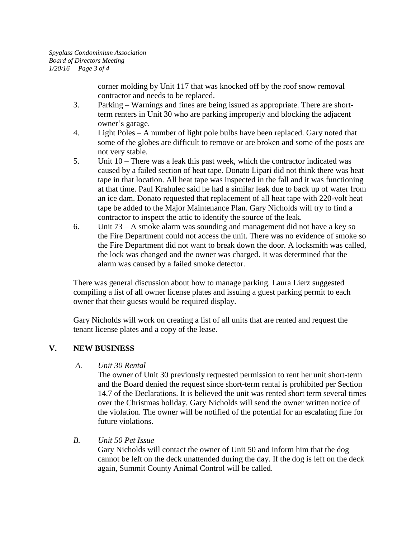corner molding by Unit 117 that was knocked off by the roof snow removal contractor and needs to be replaced.

- 3. Parking Warnings and fines are being issued as appropriate. There are shortterm renters in Unit 30 who are parking improperly and blocking the adjacent owner's garage.
- 4. Light Poles A number of light pole bulbs have been replaced. Gary noted that some of the globes are difficult to remove or are broken and some of the posts are not very stable.
- 5. Unit 10 There was a leak this past week, which the contractor indicated was caused by a failed section of heat tape. Donato Lipari did not think there was heat tape in that location. All heat tape was inspected in the fall and it was functioning at that time. Paul Krahulec said he had a similar leak due to back up of water from an ice dam. Donato requested that replacement of all heat tape with 220-volt heat tape be added to the Major Maintenance Plan. Gary Nicholds will try to find a contractor to inspect the attic to identify the source of the leak.
- 6. Unit 73 A smoke alarm was sounding and management did not have a key so the Fire Department could not access the unit. There was no evidence of smoke so the Fire Department did not want to break down the door. A locksmith was called, the lock was changed and the owner was charged. It was determined that the alarm was caused by a failed smoke detector.

There was general discussion about how to manage parking. Laura Lierz suggested compiling a list of all owner license plates and issuing a guest parking permit to each owner that their guests would be required display.

Gary Nicholds will work on creating a list of all units that are rented and request the tenant license plates and a copy of the lease.

# **V. NEW BUSINESS**

# *A. Unit 30 Rental*

The owner of Unit 30 previously requested permission to rent her unit short-term and the Board denied the request since short-term rental is prohibited per Section 14.7 of the Declarations. It is believed the unit was rented short term several times over the Christmas holiday. Gary Nicholds will send the owner written notice of the violation. The owner will be notified of the potential for an escalating fine for future violations.

# *B. Unit 50 Pet Issue*

Gary Nicholds will contact the owner of Unit 50 and inform him that the dog cannot be left on the deck unattended during the day. If the dog is left on the deck again, Summit County Animal Control will be called.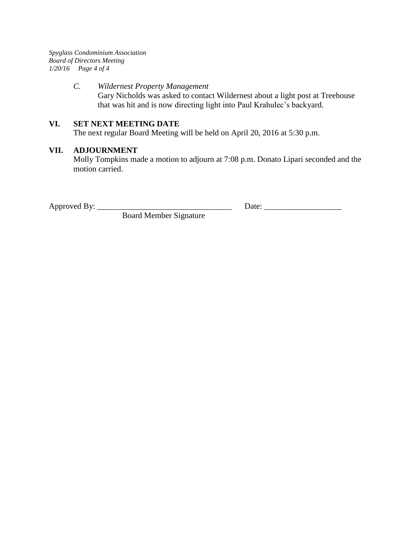*Spyglass Condominium Association Board of Directors Meeting 1/20/16 Page 4 of 4*

#### *C. Wildernest Property Management*

Gary Nicholds was asked to contact Wildernest about a light post at Treehouse that was hit and is now directing light into Paul Krahulec's backyard.

#### **VI. SET NEXT MEETING DATE**

The next regular Board Meeting will be held on April 20, 2016 at 5:30 p.m.

#### **VII. ADJOURNMENT**

Molly Tompkins made a motion to adjourn at 7:08 p.m. Donato Lipari seconded and the motion carried.

Board Member Signature

Approved By: \_\_\_\_\_\_\_\_\_\_\_\_\_\_\_\_\_\_\_\_\_\_\_\_\_\_\_\_\_\_\_\_\_ Date: \_\_\_\_\_\_\_\_\_\_\_\_\_\_\_\_\_\_\_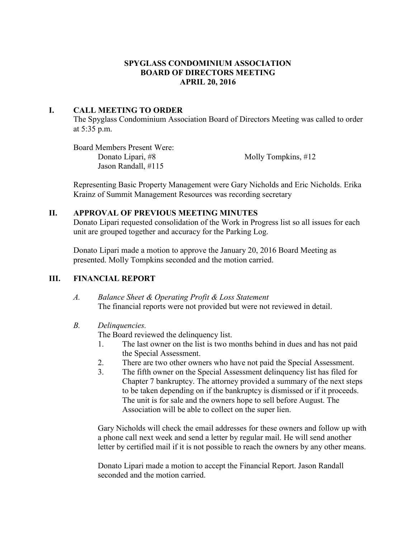# **SPYGLASS CONDOMINIUM ASSOCIATION BOARD OF DIRECTORS MEETING APRIL 20, 2016**

# **I. CALL MEETING TO ORDER**

The Spyglass Condominium Association Board of Directors Meeting was called to order at 5:35 p.m.

Board Members Present Were: Donato Lipari, #8 Molly Tompkins, #12 Jason Randall, #115

Representing Basic Property Management were Gary Nicholds and Eric Nicholds. Erika Krainz of Summit Management Resources was recording secretary

# **II. APPROVAL OF PREVIOUS MEETING MINUTES**

Donato Lipari requested consolidation of the Work in Progress list so all issues for each unit are grouped together and accuracy for the Parking Log.

Donato Lipari made a motion to approve the January 20, 2016 Board Meeting as presented. Molly Tompkins seconded and the motion carried.

# **III. FINANCIAL REPORT**

*A. Balance Sheet & Operating Profit & Loss Statement* The financial reports were not provided but were not reviewed in detail.

# *B. Delinquencies.*

The Board reviewed the delinquency list.

- 1. The last owner on the list is two months behind in dues and has not paid the Special Assessment.
- 2. There are two other owners who have not paid the Special Assessment.
- 3. The fifth owner on the Special Assessment delinquency list has filed for Chapter 7 bankruptcy. The attorney provided a summary of the next steps to be taken depending on if the bankruptcy is dismissed or if it proceeds. The unit is for sale and the owners hope to sell before August. The Association will be able to collect on the super lien.

Gary Nicholds will check the email addresses for these owners and follow up with a phone call next week and send a letter by regular mail. He will send another letter by certified mail if it is not possible to reach the owners by any other means.

Donato Lipari made a motion to accept the Financial Report. Jason Randall seconded and the motion carried.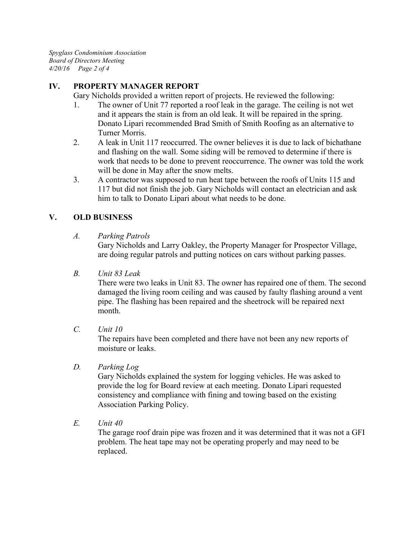*Spyglass Condominium Association Board of Directors Meeting 4/20/16 Page 2 of 4*

# **IV. PROPERTY MANAGER REPORT**

Gary Nicholds provided a written report of projects. He reviewed the following:

- 1. The owner of Unit 77 reported a roof leak in the garage. The ceiling is not wet and it appears the stain is from an old leak. It will be repaired in the spring. Donato Lipari recommended Brad Smith of Smith Roofing as an alternative to Turner Morris.
- 2. A leak in Unit 117 reoccurred. The owner believes it is due to lack of bichathane and flashing on the wall. Some siding will be removed to determine if there is work that needs to be done to prevent reoccurrence. The owner was told the work will be done in May after the snow melts.
- 3. A contractor was supposed to run heat tape between the roofs of Units 115 and 117 but did not finish the job. Gary Nicholds will contact an electrician and ask him to talk to Donato Lipari about what needs to be done.

# **V. OLD BUSINESS**

*A. Parking Patrols*

Gary Nicholds and Larry Oakley, the Property Manager for Prospector Village, are doing regular patrols and putting notices on cars without parking passes.

*B. Unit 83 Leak*

There were two leaks in Unit 83. The owner has repaired one of them. The second damaged the living room ceiling and was caused by faulty flashing around a vent pipe. The flashing has been repaired and the sheetrock will be repaired next month.

*C. Unit 10*

The repairs have been completed and there have not been any new reports of moisture or leaks.

*D. Parking Log*

Gary Nicholds explained the system for logging vehicles. He was asked to provide the log for Board review at each meeting. Donato Lipari requested consistency and compliance with fining and towing based on the existing Association Parking Policy.

*E. Unit 40*

The garage roof drain pipe was frozen and it was determined that it was not a GFI problem. The heat tape may not be operating properly and may need to be replaced.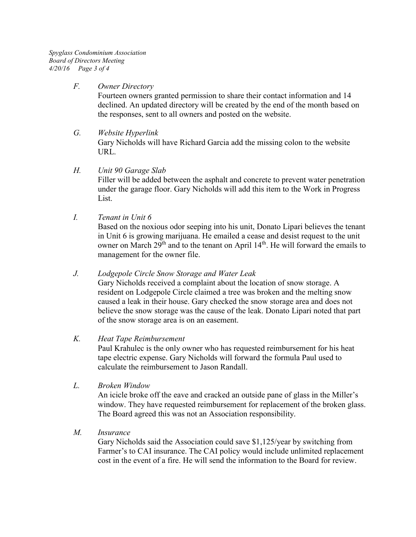*Spyglass Condominium Association Board of Directors Meeting 4/20/16 Page 3 of 4*

#### *F. Owner Directory*

Fourteen owners granted permission to share their contact information and 14 declined. An updated directory will be created by the end of the month based on the responses, sent to all owners and posted on the website.

*G. Website Hyperlink* Gary Nicholds will have Richard Garcia add the missing colon to the website URL.

#### *H. Unit 90 Garage Slab*

Filler will be added between the asphalt and concrete to prevent water penetration under the garage floor. Gary Nicholds will add this item to the Work in Progress List.

*I. Tenant in Unit 6*

Based on the noxious odor seeping into his unit, Donato Lipari believes the tenant in Unit 6 is growing marijuana. He emailed a cease and desist request to the unit owner on March 29<sup>th</sup> and to the tenant on April 14<sup>th</sup>. He will forward the emails to management for the owner file.

#### *J. Lodgepole Circle Snow Storage and Water Leak*

Gary Nicholds received a complaint about the location of snow storage. A resident on Lodgepole Circle claimed a tree was broken and the melting snow caused a leak in their house. Gary checked the snow storage area and does not believe the snow storage was the cause of the leak. Donato Lipari noted that part of the snow storage area is on an easement.

#### *K. Heat Tape Reimbursement*

Paul Krahulec is the only owner who has requested reimbursement for his heat tape electric expense. Gary Nicholds will forward the formula Paul used to calculate the reimbursement to Jason Randall.

*L. Broken Window*

An icicle broke off the eave and cracked an outside pane of glass in the Miller's window. They have requested reimbursement for replacement of the broken glass. The Board agreed this was not an Association responsibility.

*M. Insurance*

Gary Nicholds said the Association could save \$1,125/year by switching from Farmer's to CAI insurance. The CAI policy would include unlimited replacement cost in the event of a fire. He will send the information to the Board for review.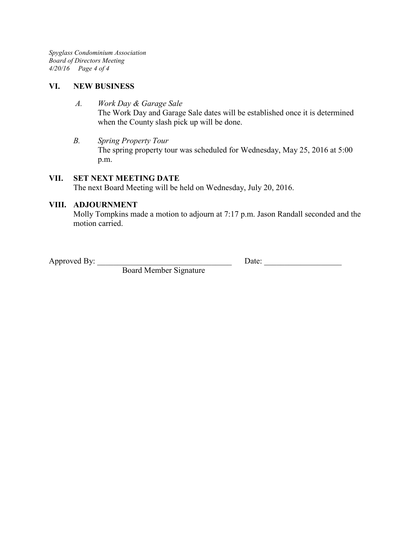*Spyglass Condominium Association Board of Directors Meeting 4/20/16 Page 4 of 4*

#### **VI. NEW BUSINESS**

- *A. Work Day & Garage Sale* The Work Day and Garage Sale dates will be established once it is determined when the County slash pick up will be done.
- *B. Spring Property Tour* The spring property tour was scheduled for Wednesday, May 25, 2016 at 5:00 p.m.

#### **VII. SET NEXT MEETING DATE**

The next Board Meeting will be held on Wednesday, July 20, 2016.

#### **VIII. ADJOURNMENT**

Molly Tompkins made a motion to adjourn at 7:17 p.m. Jason Randall seconded and the motion carried.

Approved By:  $\Box$ 

Board Member Signature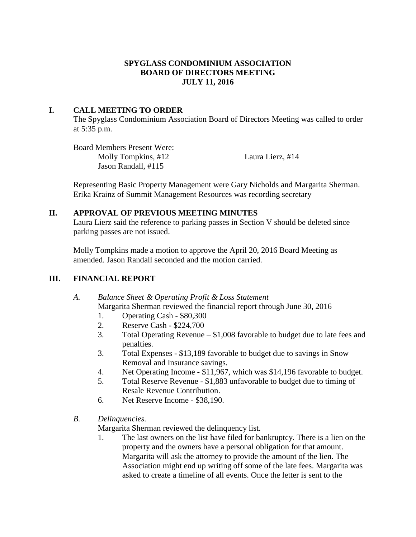# **SPYGLASS CONDOMINIUM ASSOCIATION BOARD OF DIRECTORS MEETING JULY 11, 2016**

# **I. CALL MEETING TO ORDER**

The Spyglass Condominium Association Board of Directors Meeting was called to order at 5:35 p.m.

Board Members Present Were: Molly Tompkins, #12 Laura Lierz, #14 Jason Randall, #115

Representing Basic Property Management were Gary Nicholds and Margarita Sherman. Erika Krainz of Summit Management Resources was recording secretary

#### **II. APPROVAL OF PREVIOUS MEETING MINUTES**

Laura Lierz said the reference to parking passes in Section V should be deleted since parking passes are not issued.

Molly Tompkins made a motion to approve the April 20, 2016 Board Meeting as amended. Jason Randall seconded and the motion carried.

# **III. FINANCIAL REPORT**

#### *A. Balance Sheet & Operating Profit & Loss Statement* Margarita Sherman reviewed the financial report through June 30, 2016

- 1. Operating Cash \$80,300
- 2. Reserve Cash \$224,700
- 3. Total Operating Revenue \$1,008 favorable to budget due to late fees and penalties.
- 3. Total Expenses \$13,189 favorable to budget due to savings in Snow Removal and Insurance savings.
- 4. Net Operating Income \$11,967, which was \$14,196 favorable to budget.
- 5. Total Reserve Revenue \$1,883 unfavorable to budget due to timing of Resale Revenue Contribution.
- 6. Net Reserve Income \$38,190.
- *B. Delinquencies.*

Margarita Sherman reviewed the delinquency list.

1. The last owners on the list have filed for bankruptcy. There is a lien on the property and the owners have a personal obligation for that amount. Margarita will ask the attorney to provide the amount of the lien. The Association might end up writing off some of the late fees. Margarita was asked to create a timeline of all events. Once the letter is sent to the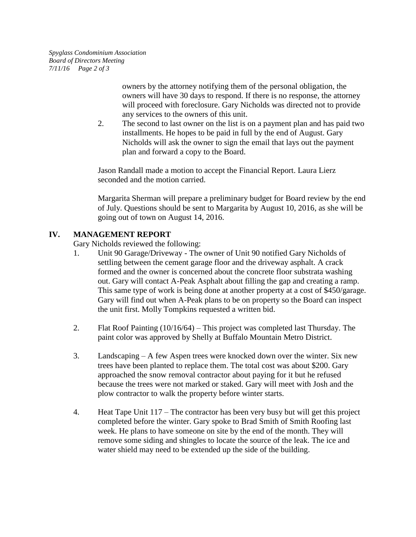owners by the attorney notifying them of the personal obligation, the owners will have 30 days to respond. If there is no response, the attorney will proceed with foreclosure. Gary Nicholds was directed not to provide any services to the owners of this unit.

2. The second to last owner on the list is on a payment plan and has paid two installments. He hopes to be paid in full by the end of August. Gary Nicholds will ask the owner to sign the email that lays out the payment plan and forward a copy to the Board.

Jason Randall made a motion to accept the Financial Report. Laura Lierz seconded and the motion carried.

Margarita Sherman will prepare a preliminary budget for Board review by the end of July. Questions should be sent to Margarita by August 10, 2016, as she will be going out of town on August 14, 2016.

# **IV. MANAGEMENT REPORT**

Gary Nicholds reviewed the following:

- 1. Unit 90 Garage/Driveway The owner of Unit 90 notified Gary Nicholds of settling between the cement garage floor and the driveway asphalt. A crack formed and the owner is concerned about the concrete floor substrata washing out. Gary will contact A-Peak Asphalt about filling the gap and creating a ramp. This same type of work is being done at another property at a cost of \$450/garage. Gary will find out when A-Peak plans to be on property so the Board can inspect the unit first. Molly Tompkins requested a written bid.
- 2. Flat Roof Painting (10/16/64) This project was completed last Thursday. The paint color was approved by Shelly at Buffalo Mountain Metro District.
- 3. Landscaping A few Aspen trees were knocked down over the winter. Six new trees have been planted to replace them. The total cost was about \$200. Gary approached the snow removal contractor about paying for it but he refused because the trees were not marked or staked. Gary will meet with Josh and the plow contractor to walk the property before winter starts.
- 4. Heat Tape Unit 117 The contractor has been very busy but will get this project completed before the winter. Gary spoke to Brad Smith of Smith Roofing last week. He plans to have someone on site by the end of the month. They will remove some siding and shingles to locate the source of the leak. The ice and water shield may need to be extended up the side of the building.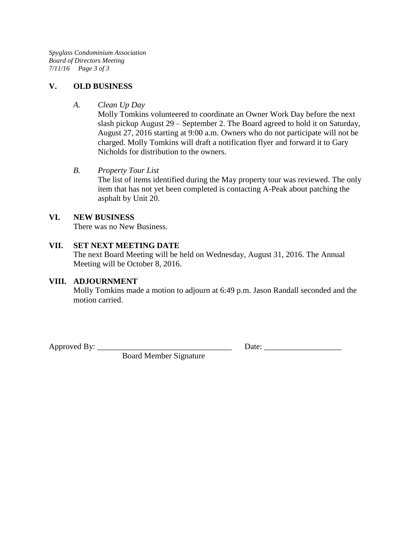*Spyglass Condominium Association Board of Directors Meeting 7/11/16 Page 3 of 3*

#### **V. OLD BUSINESS**

#### *A. Clean Up Day*

Molly Tomkins volunteered to coordinate an Owner Work Day before the next slash pickup August 29 – September 2. The Board agreed to hold it on Saturday, August 27, 2016 starting at 9:00 a.m. Owners who do not participate will not be charged. Molly Tomkins will draft a notification flyer and forward it to Gary Nicholds for distribution to the owners.

#### *B. Property Tour List*

The list of items identified during the May property tour was reviewed. The only item that has not yet been completed is contacting A-Peak about patching the asphalt by Unit 20.

#### **VI. NEW BUSINESS**

There was no New Business.

#### **VII. SET NEXT MEETING DATE**

The next Board Meeting will be held on Wednesday, August 31, 2016. The Annual Meeting will be October 8, 2016.

#### **VIII. ADJOURNMENT**

Molly Tomkins made a motion to adjourn at 6:49 p.m. Jason Randall seconded and the motion carried.

Approved By: \_\_\_\_\_\_\_\_\_\_\_\_\_\_\_\_\_\_\_\_\_\_\_\_\_\_\_\_\_\_\_\_\_ Date: \_\_\_\_\_\_\_\_\_\_\_\_\_\_\_\_\_\_\_

Board Member Signature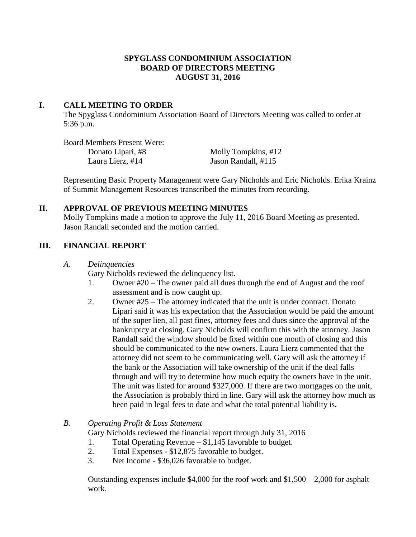# **SPYGLASS CONDOMINIUM ASSOCIATION BOARD OF DIRECTORS MEETING AUGUST 31, 2016**

#### **I. CALL MEETING TO ORDER**

The Spyglass Condominium Association Board of Directors Meeting was called to order at 5:36 p.m.

Board Members Present Were: Donato Lipari, #8 Molly Tompkins, #12 Laura Lierz, #14 Jason Randall, #115

Representing Basic Property Management were Gary Nicholds and Eric Nicholds. Erika Krainz of Summit Management Resources transcribed the minutes from recording.

# **II. APPROVAL OF PREVIOUS MEETING MINUTES**

Molly Tompkins made a motion to approve the July 11, 2016 Board Meeting as presented. Jason Randall seconded and the motion carried.

# **III. FINANCIAL REPORT**

*A. Delinquencies*

Gary Nicholds reviewed the delinquency list.

- 1. Owner #20 The owner paid all dues through the end of August and the roof assessment and is now caught up.
- 2. Owner #25 The attorney indicated that the unit is under contract. Donato Lipari said it was his expectation that the Association would be paid the amount of the super lien, all past fines, attorney fees and dues since the approval of the bankruptcy at closing. Gary Nicholds will confirm this with the attorney. Jason Randall said the window should be fixed within one month of closing and this should be communicated to the new owners. Laura Lierz commented that the attorney did not seem to be communicating well. Gary will ask the attorney if the bank or the Association will take ownership of the unit if the deal falls through and will try to determine how much equity the owners have in the unit. The unit was listed for around \$327,000. If there are two mortgages on the unit, the Association is probably third in line. Gary will ask the attorney how much as been paid in legal fees to date and what the total potential liability is.

# *B. Operating Profit & Loss Statement*

Gary Nicholds reviewed the financial report through July 31, 2016

- 1. Total Operating Revenue \$1,145 favorable to budget.
- 2. Total Expenses \$12,875 favorable to budget.
- 3. Net Income \$36,026 favorable to budget.

Outstanding expenses include  $$4,000$  for the roof work and  $$1,500 - 2,000$  for asphalt work.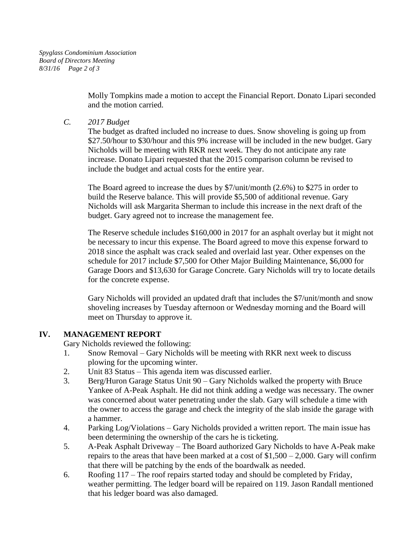Molly Tompkins made a motion to accept the Financial Report. Donato Lipari seconded and the motion carried.

*C. 2017 Budget*

The budget as drafted included no increase to dues. Snow shoveling is going up from \$27.50/hour to \$30/hour and this 9% increase will be included in the new budget. Gary Nicholds will be meeting with RKR next week. They do not anticipate any rate increase. Donato Lipari requested that the 2015 comparison column be revised to include the budget and actual costs for the entire year.

The Board agreed to increase the dues by \$7/unit/month (2.6%) to \$275 in order to build the Reserve balance. This will provide \$5,500 of additional revenue. Gary Nicholds will ask Margarita Sherman to include this increase in the next draft of the budget. Gary agreed not to increase the management fee.

The Reserve schedule includes \$160,000 in 2017 for an asphalt overlay but it might not be necessary to incur this expense. The Board agreed to move this expense forward to 2018 since the asphalt was crack sealed and overlaid last year. Other expenses on the schedule for 2017 include \$7,500 for Other Major Building Maintenance, \$6,000 for Garage Doors and \$13,630 for Garage Concrete. Gary Nicholds will try to locate details for the concrete expense.

Gary Nicholds will provided an updated draft that includes the \$7/unit/month and snow shoveling increases by Tuesday afternoon or Wednesday morning and the Board will meet on Thursday to approve it.

# **IV. MANAGEMENT REPORT**

Gary Nicholds reviewed the following:

- 1. Snow Removal Gary Nicholds will be meeting with RKR next week to discuss plowing for the upcoming winter.
- 2. Unit 83 Status This agenda item was discussed earlier.
- 3. Berg/Huron Garage Status Unit 90 Gary Nicholds walked the property with Bruce Yankee of A-Peak Asphalt. He did not think adding a wedge was necessary. The owner was concerned about water penetrating under the slab. Gary will schedule a time with the owner to access the garage and check the integrity of the slab inside the garage with a hammer.
- 4. Parking Log/Violations Gary Nicholds provided a written report. The main issue has been determining the ownership of the cars he is ticketing.
- 5. A-Peak Asphalt Driveway The Board authorized Gary Nicholds to have A-Peak make repairs to the areas that have been marked at a cost of  $$1,500 - 2,000$ . Gary will confirm that there will be patching by the ends of the boardwalk as needed.
- 6. Roofing 117 The roof repairs started today and should be completed by Friday, weather permitting. The ledger board will be repaired on 119. Jason Randall mentioned that his ledger board was also damaged.